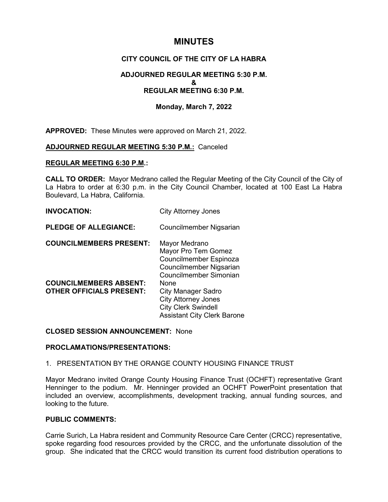# **MINUTES**

# **CITY COUNCIL OF THE CITY OF LA HABRA**

# **ADJOURNED REGULAR MEETING 5:30 P.M. & REGULAR MEETING 6:30 P.M.**

# **Monday, March 7, 2022**

**APPROVED:** These Minutes were approved on March 21, 2022.

### **ADJOURNED REGULAR MEETING 5:30 P.M.:** Canceled

#### **REGULAR MEETING 6:30 P.M.:**

**CALL TO ORDER:** Mayor Medrano called the Regular Meeting of the City Council of the City of La Habra to order at 6:30 p.m. in the City Council Chamber, located at 100 East La Habra Boulevard, La Habra, California.

## **INVOCATION:** City Attorney Jones

**PLEDGE OF ALLEGIANCE:** Councilmember Nigsarian

| <b>COUNCILMEMBERS PRESENT:</b>  | Mayor Medrano                      |
|---------------------------------|------------------------------------|
|                                 | Mayor Pro Tem Gomez                |
|                                 | Councilmember Espinoza             |
|                                 | Councilmember Nigsarian            |
|                                 | Councilmember Simonian             |
| <b>COUNCILMEMBERS ABSENT:</b>   | None                               |
| <b>OTHER OFFICIALS PRESENT:</b> | <b>City Manager Sadro</b>          |
|                                 | <b>City Attorney Jones</b>         |
|                                 | <b>City Clerk Swindell</b>         |
|                                 | <b>Assistant City Clerk Barone</b> |

## **CLOSED SESSION ANNOUNCEMENT:** None

### **PROCLAMATIONS/PRESENTATIONS:**

### 1. PRESENTATION BY THE ORANGE COUNTY HOUSING FINANCE TRUST

Mayor Medrano invited Orange County Housing Finance Trust (OCHFT) representative Grant Henninger to the podium. Mr. Henninger provided an OCHFT PowerPoint presentation that included an overview, accomplishments, development tracking, annual funding sources, and looking to the future.

# **PUBLIC COMMENTS:**

Carrie Surich, La Habra resident and Community Resource Care Center (CRCC) representative, spoke regarding food resources provided by the CRCC, and the unfortunate dissolution of the group. She indicated that the CRCC would transition its current food distribution operations to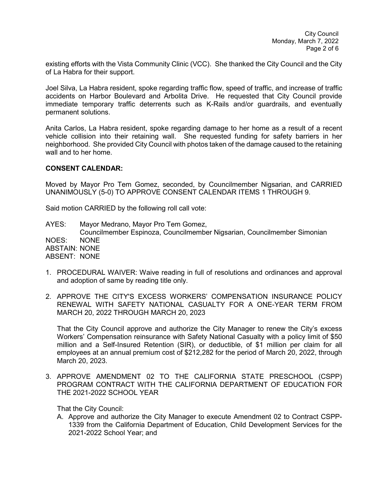existing efforts with the Vista Community Clinic (VCC). She thanked the City Council and the City of La Habra for their support.

Joel Silva, La Habra resident, spoke regarding traffic flow, speed of traffic, and increase of traffic accidents on Harbor Boulevard and Arbolita Drive. He requested that City Council provide immediate temporary traffic deterrents such as K-Rails and/or guardrails, and eventually permanent solutions.

Anita Carlos, La Habra resident, spoke regarding damage to her home as a result of a recent vehicle collision into their retaining wall. She requested funding for safety barriers in her neighborhood. She provided City Council with photos taken of the damage caused to the retaining wall and to her home.

## **CONSENT CALENDAR:**

Moved by Mayor Pro Tem Gomez, seconded, by Councilmember Nigsarian, and CARRIED UNANIMOUSLY (5-0) TO APPROVE CONSENT CALENDAR ITEMS 1 THROUGH 9.

Said motion CARRIED by the following roll call vote:

AYES: Mayor Medrano, Mayor Pro Tem Gomez, Councilmember Espinoza, Councilmember Nigsarian, Councilmember Simonian NOES: NONE ABSTAIN: NONE ABSENT: NONE

- 1. PROCEDURAL WAIVER: Waive reading in full of resolutions and ordinances and approval and adoption of same by reading title only.
- 2. APPROVE THE CITY'S EXCESS WORKERS' COMPENSATION INSURANCE POLICY RENEWAL WITH SAFETY NATIONAL CASUALTY FOR A ONE-YEAR TERM FROM MARCH 20, 2022 THROUGH MARCH 20, 2023

That the City Council approve and authorize the City Manager to renew the City's excess Workers' Compensation reinsurance with Safety National Casualty with a policy limit of \$50 million and a Self-Insured Retention (SIR), or deductible, of \$1 million per claim for all employees at an annual premium cost of \$212,282 for the period of March 20, 2022, through March 20, 2023.

3. APPROVE AMENDMENT 02 TO THE CALIFORNIA STATE PRESCHOOL (CSPP) PROGRAM CONTRACT WITH THE CALIFORNIA DEPARTMENT OF EDUCATION FOR THE 2021-2022 SCHOOL YEAR

That the City Council:

A. Approve and authorize the City Manager to execute Amendment 02 to Contract CSPP-1339 from the California Department of Education, Child Development Services for the 2021-2022 School Year; and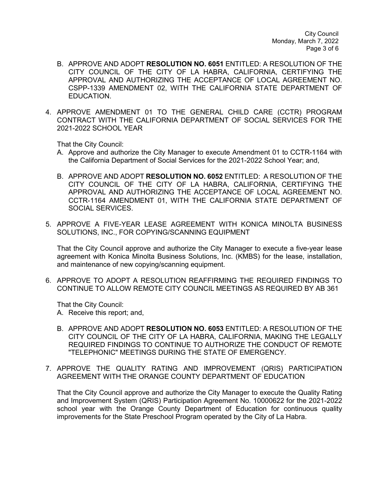City Council Monday, March 7, 2022 Page 3 of 6

- B. APPROVE AND ADOPT **RESOLUTION NO. 6051** ENTITLED: A RESOLUTION OF THE CITY COUNCIL OF THE CITY OF LA HABRA, CALIFORNIA, CERTIFYING THE APPROVAL AND AUTHORIZING THE ACCEPTANCE OF LOCAL AGREEMENT NO. CSPP-1339 AMENDMENT 02, WITH THE CALIFORNIA STATE DEPARTMENT OF EDUCATION.
- 4. APPROVE AMENDMENT 01 TO THE GENERAL CHILD CARE (CCTR) PROGRAM CONTRACT WITH THE CALIFORNIA DEPARTMENT OF SOCIAL SERVICES FOR THE 2021-2022 SCHOOL YEAR

That the City Council:

- A. Approve and authorize the City Manager to execute Amendment 01 to CCTR-1164 with the California Department of Social Services for the 2021-2022 School Year; and,
- B. APPROVE AND ADOPT **RESOLUTION NO. 6052** ENTITLED: A RESOLUTION OF THE CITY COUNCIL OF THE CITY OF LA HABRA, CALIFORNIA, CERTIFYING THE APPROVAL AND AUTHORIZING THE ACCEPTANCE OF LOCAL AGREEMENT NO. CCTR-1164 AMENDMENT 01, WITH THE CALIFORNIA STATE DEPARTMENT OF SOCIAL SERVICES.
- 5. APPROVE A FIVE-YEAR LEASE AGREEMENT WITH KONICA MINOLTA BUSINESS SOLUTIONS, INC., FOR COPYING/SCANNING EQUIPMENT

That the City Council approve and authorize the City Manager to execute a five-year lease agreement with Konica Minolta Business Solutions, Inc. (KMBS) for the lease, installation, and maintenance of new copying/scanning equipment.

6. APPROVE TO ADOPT A RESOLUTION REAFFIRMING THE REQUIRED FINDINGS TO CONTINUE TO ALLOW REMOTE CITY COUNCIL MEETINGS AS REQUIRED BY AB 361

That the City Council:

- A. Receive this report; and,
- B. APPROVE AND ADOPT **RESOLUTION NO. 6053** ENTITLED: A RESOLUTION OF THE CITY COUNCIL OF THE CITY OF LA HABRA, CALIFORNIA, MAKING THE LEGALLY REQUIRED FINDINGS TO CONTINUE TO AUTHORIZE THE CONDUCT OF REMOTE "TELEPHONIC" MEETINGS DURING THE STATE OF EMERGENCY.
- 7. APPROVE THE QUALITY RATING AND IMPROVEMENT (QRIS) PARTICIPATION AGREEMENT WITH THE ORANGE COUNTY DEPARTMENT OF EDUCATION

That the City Council approve and authorize the City Manager to execute the Quality Rating and Improvement System (QRIS) Participation Agreement No. 10000622 for the 2021-2022 school year with the Orange County Department of Education for continuous quality improvements for the State Preschool Program operated by the City of La Habra.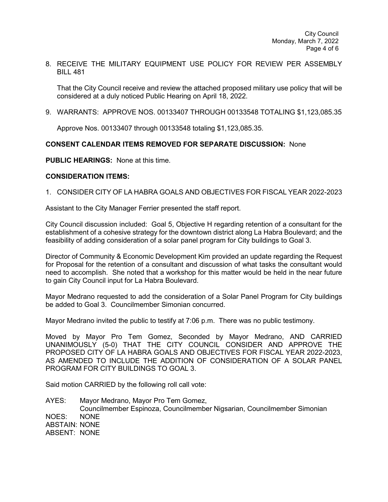8. RECEIVE THE MILITARY EQUIPMENT USE POLICY FOR REVIEW PER ASSEMBLY BILL 481

That the City Council receive and review the attached proposed military use policy that will be considered at a duly noticed Public Hearing on April 18, 2022.

9. WARRANTS: APPROVE NOS. 00133407 THROUGH 00133548 TOTALING \$1,123,085.35

Approve Nos. 00133407 through 00133548 totaling \$1,123,085.35.

# **CONSENT CALENDAR ITEMS REMOVED FOR SEPARATE DISCUSSION:** None

**PUBLIC HEARINGS:** None at this time.

## **CONSIDERATION ITEMS:**

## 1. CONSIDER CITY OF LA HABRA GOALS AND OBJECTIVES FOR FISCAL YEAR 2022-2023

Assistant to the City Manager Ferrier presented the staff report.

City Council discussion included: Goal 5, Objective H regarding retention of a consultant for the establishment of a cohesive strategy for the downtown district along La Habra Boulevard; and the feasibility of adding consideration of a solar panel program for City buildings to Goal 3.

Director of Community & Economic Development Kim provided an update regarding the Request for Proposal for the retention of a consultant and discussion of what tasks the consultant would need to accomplish. She noted that a workshop for this matter would be held in the near future to gain City Council input for La Habra Boulevard.

Mayor Medrano requested to add the consideration of a Solar Panel Program for City buildings be added to Goal 3. Councilmember Simonian concurred.

Mayor Medrano invited the public to testify at 7:06 p.m. There was no public testimony.

Moved by Mayor Pro Tem Gomez, Seconded by Mayor Medrano, AND CARRIED UNANIMOUSLY (5-0) THAT THE CITY COUNCIL CONSIDER AND APPROVE THE PROPOSED CITY OF LA HABRA GOALS AND OBJECTIVES FOR FISCAL YEAR 2022-2023, AS AMENDED TO INCLUDE THE ADDITION OF CONSIDERATION OF A SOLAR PANEL PROGRAM FOR CITY BUILDINGS TO GOAL 3.

Said motion CARRIED by the following roll call vote:

AYES: Mayor Medrano, Mayor Pro Tem Gomez, Councilmember Espinoza, Councilmember Nigsarian, Councilmember Simonian NOES: NONE ABSTAIN: NONE ABSENT: NONE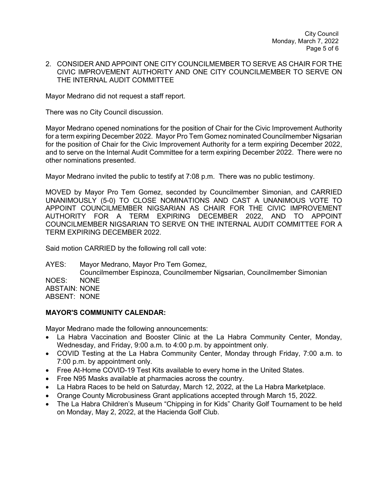City Council Monday, March 7, 2022 Page 5 of 6

### 2. CONSIDER AND APPOINT ONE CITY COUNCILMEMBER TO SERVE AS CHAIR FOR THE CIVIC IMPROVEMENT AUTHORITY AND ONE CITY COUNCILMEMBER TO SERVE ON THE INTERNAL AUDIT COMMITTEE

Mayor Medrano did not request a staff report.

There was no City Council discussion.

Mayor Medrano opened nominations for the position of Chair for the Civic Improvement Authority for a term expiring December 2022. Mayor Pro Tem Gomez nominated Councilmember Nigsarian for the position of Chair for the Civic Improvement Authority for a term expiring December 2022, and to serve on the Internal Audit Committee for a term expiring December 2022. There were no other nominations presented.

Mayor Medrano invited the public to testify at 7:08 p.m. There was no public testimony.

MOVED by Mayor Pro Tem Gomez, seconded by Councilmember Simonian, and CARRIED UNANIMOUSLY (5-0) TO CLOSE NOMINATIONS AND CAST A UNANIMOUS VOTE TO APPOINT COUNCILMEMBER NIGSARIAN AS CHAIR FOR THE CIVIC IMPROVEMENT AUTHORITY FOR A TERM EXPIRING DECEMBER 2022, AND TO APPOINT COUNCILMEMBER NIGSARIAN TO SERVE ON THE INTERNAL AUDIT COMMITTEE FOR A TERM EXPIRING DECEMBER 2022.

Said motion CARRIED by the following roll call vote:

AYES: Mayor Medrano, Mayor Pro Tem Gomez, Councilmember Espinoza, Councilmember Nigsarian, Councilmember Simonian NOES: NONE ABSTAIN: NONE ABSENT: NONE

### **MAYOR'S COMMUNITY CALENDAR:**

Mayor Medrano made the following announcements:

- La Habra Vaccination and Booster Clinic at the La Habra Community Center, Monday, Wednesday, and Friday, 9:00 a.m. to 4:00 p.m. by appointment only.
- COVID Testing at the La Habra Community Center, Monday through Friday, 7:00 a.m. to 7:00 p.m. by appointment only.
- Free At-Home COVID-19 Test Kits available to every home in the United States.
- Free N95 Masks available at pharmacies across the country.
- La Habra Races to be held on Saturday, March 12, 2022, at the La Habra Marketplace.
- Orange County Microbusiness Grant applications accepted through March 15, 2022.
- The La Habra Children's Museum "Chipping in for Kids" Charity Golf Tournament to be held on Monday, May 2, 2022, at the Hacienda Golf Club.